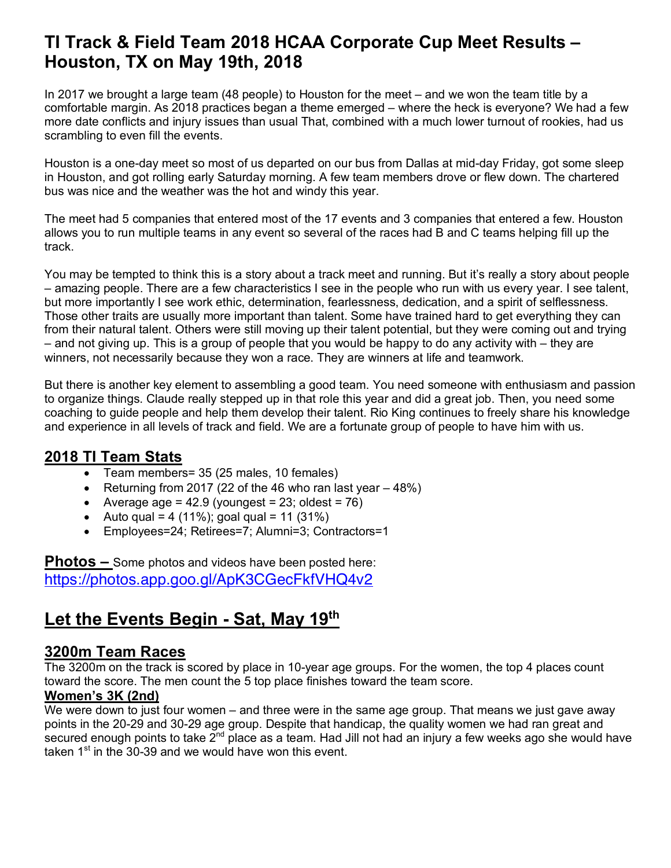# **TI Track & Field Team 2018 HCAA Corporate Cup Meet Results – Houston, TX on May 19th, 2018**

In 2017 we brought a large team (48 people) to Houston for the meet – and we won the team title by a comfortable margin. As 2018 practices began a theme emerged – where the heck is everyone? We had a few more date conflicts and injury issues than usual That, combined with a much lower turnout of rookies, had us scrambling to even fill the events.

Houston is a one-day meet so most of us departed on our bus from Dallas at mid-day Friday, got some sleep in Houston, and got rolling early Saturday morning. A few team members drove or flew down. The chartered bus was nice and the weather was the hot and windy this year.

The meet had 5 companies that entered most of the 17 events and 3 companies that entered a few. Houston allows you to run multiple teams in any event so several of the races had B and C teams helping fill up the track.

You may be tempted to think this is a story about a track meet and running. But it's really a story about people – amazing people. There are a few characteristics I see in the people who run with us every year. I see talent, but more importantly I see work ethic, determination, fearlessness, dedication, and a spirit of selflessness. Those other traits are usually more important than talent. Some have trained hard to get everything they can from their natural talent. Others were still moving up their talent potential, but they were coming out and trying – and not giving up. This is a group of people that you would be happy to do any activity with – they are winners, not necessarily because they won a race. They are winners at life and teamwork.

But there is another key element to assembling a good team. You need someone with enthusiasm and passion to organize things. Claude really stepped up in that role this year and did a great job. Then, you need some coaching to guide people and help them develop their talent. Rio King continues to freely share his knowledge and experience in all levels of track and field. We are a fortunate group of people to have him with us.

# **2018 TI Team Stats**

- Team members= 35 (25 males, 10 females)
- Returning from 2017 (22 of the 46 who ran last year  $-48\%$ )
- Average age =  $42.9$  (youngest =  $23$ ; oldest =  $76$ )
- Auto qual = 4 (11%); goal qual = 11 (31%)
- Employees=24; Retirees=7; Alumni=3; Contractors=1

**Photos –** Some photos and videos have been posted here: https://photos.app.goo.gl/ApK3CGecFkfVHQ4v2

# **Let the Events Begin - Sat, May 19th**

# **3200m Team Races**

The 3200m on the track is scored by place in 10-year age groups. For the women, the top 4 places count toward the score. The men count the 5 top place finishes toward the team score.

#### **Women's 3K (2nd)**

We were down to just four women – and three were in the same age group. That means we just gave away points in the 20-29 and 30-29 age group. Despite that handicap, the quality women we had ran great and secured enough points to take  $2^{nd}$  place as a team. Had Jill not had an injury a few weeks ago she would have taken  $1<sup>st</sup>$  in the 30-39 and we would have won this event.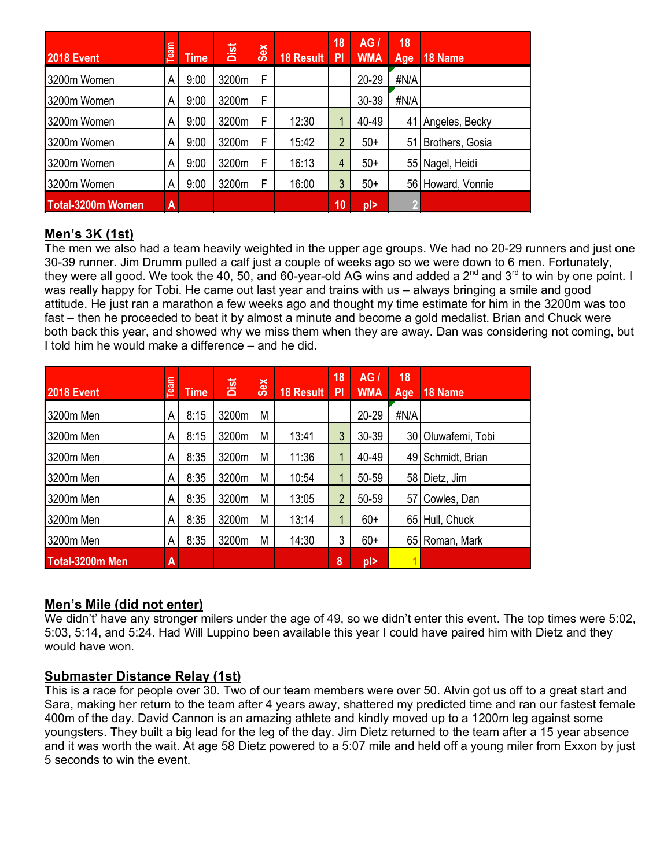| # | <b>2018 Event</b>        | Team | <b>Time</b> | Dist  | <b>Sex</b> | 18 Result | 18<br>PI | AGI<br><b>WMA</b> | 18<br>Age | 18 Name           |
|---|--------------------------|------|-------------|-------|------------|-----------|----------|-------------------|-----------|-------------------|
|   | 3200m Women              | А    | 9:00        | 3200m | F          |           |          | $20 - 29$         | #N/A      |                   |
|   | 3200m Women              | Α    | 9:00        | 3200m | F          |           |          | 30-39             | #N/A      |                   |
|   | 3200m Women              | А    | 9:00        | 3200m | F          | 12:30     |          | 40-49             | 41        | Angeles, Becky    |
|   | 3200m Women              | А    | 9:00        | 3200m | F          | 15:42     | 2        | $50+$             | 51 I      | Brothers, Gosia   |
|   | 3200m Women              | А    | 9:00        | 3200m | F          | 16:13     | 4        | $50+$             | 55        | Nagel, Heidi      |
|   | 3200m Women              | А    | 9:00        | 3200m | F          | 16:00     | 3        | $50+$             |           | 56 Howard, Vonnie |
|   | <b>Total-3200m Women</b> | A    |             |       |            |           | 10       | pl>               |           |                   |

#### **Men's 3K (1st)**

The men we also had a team heavily weighted in the upper age groups. We had no 20-29 runners and just one 30-39 runner. Jim Drumm pulled a calf just a couple of weeks ago so we were down to 6 men. Fortunately, they were all good. We took the 40, 50, and 60-year-old AG wins and added a  $2^{nd}$  and  $3^{rd}$  to win by one point. I was really happy for Tobi. He came out last year and trains with us – always bringing a smile and good attitude. He just ran a marathon a few weeks ago and thought my time estimate for him in the 3200m was too fast – then he proceeded to beat it by almost a minute and become a gold medalist. Brian and Chuck were both back this year, and showed why we miss them when they are away. Dan was considering not coming, but I told him he would make a difference – and he did.

| # | <b>2018 Event</b> | <b>Team</b> | <b>Time</b> | Dist  | Sex | 18 Result | 18<br>PI       | AGI<br><b>WMA</b> | 18<br>Age | 18 Name         |
|---|-------------------|-------------|-------------|-------|-----|-----------|----------------|-------------------|-----------|-----------------|
|   | 3200m Men         | А           | 8:15        | 3200m | M   |           |                | $20 - 29$         | #N/A      |                 |
|   | 3200m Men         | Α           | 8:15        | 3200m | M   | 13:41     | 3              | $30 - 39$         | 30 I      | Oluwafemi, Tobi |
|   | 3200m Men         | Α           | 8:35        | 3200m | M   | 11:36     | 1              | 40-49             | 49        | Schmidt, Brian  |
|   | 3200m Men         | Α           | 8:35        | 3200m | M   | 10:54     |                | 50-59             | 58        | Dietz, Jim      |
|   | 3200m Men         | А           | 8:35        | 3200m | M   | 13:05     | $\overline{2}$ | 50-59             | 57        | Cowles, Dan     |
|   | 3200m Men         | Α           | 8:35        | 3200m | M   | 13:14     |                | $60+$             | 651       | Hull, Chuck     |
|   | 3200m Men         | А           | 8:35        | 3200m | M   | 14:30     | 3              | $60+$             |           | 65 Roman, Mark  |
|   | Total-3200m Men   | A           |             |       |     |           | 8              | $p$  >            |           |                 |

#### **Men's Mile (did not enter)**

We didn't' have any stronger milers under the age of 49, so we didn't enter this event. The top times were 5:02, 5:03, 5:14, and 5:24. Had Will Luppino been available this year I could have paired him with Dietz and they would have won.

#### **Submaster Distance Relay (1st)**

This is a race for people over 30. Two of our team members were over 50. Alvin got us off to a great start and Sara, making her return to the team after 4 years away, shattered my predicted time and ran our fastest female 400m of the day. David Cannon is an amazing athlete and kindly moved up to a 1200m leg against some youngsters. They built a big lead for the leg of the day. Jim Dietz returned to the team after a 15 year absence and it was worth the wait. At age 58 Dietz powered to a 5:07 mile and held off a young miler from Exxon by just 5 seconds to win the event.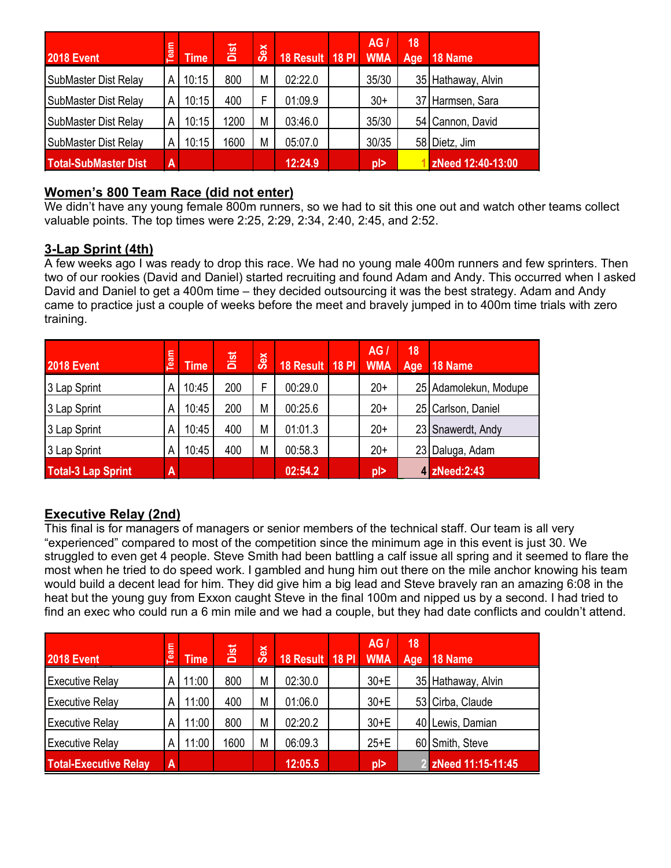| # | <b>2018 Event</b>           | Team                    | <b>Time</b> | Dist | <b>Sex</b> | 18 Result   18 PI | <b>AG</b><br><b>WMA</b> | 18<br>Age | 18 Name            |
|---|-----------------------------|-------------------------|-------------|------|------------|-------------------|-------------------------|-----------|--------------------|
|   | SubMaster Dist Relay        | А                       | 10:15       | 800  | M          | 02:22.0           | 35/30                   |           | 35 Hathaway, Alvin |
|   | SubMaster Dist Relay        | А                       | 10:15       | 400  | F          | 01:09.9           | $30+$                   |           | 37 Harmsen, Sara   |
|   | SubMaster Dist Relay        | Α                       | 10:15       | 1200 | M          | 03:46.0           | 35/30                   |           | 54 Cannon, David   |
|   | <b>SubMaster Dist Relay</b> | А                       | 10:15       | 1600 | M          | 05:07.0           | 30/35                   |           | 58 Dietz, Jim      |
|   | <b>Total-SubMaster Dist</b> | $\overline{\mathbf{A}}$ |             |      |            | 12:24.9           | $\vert$ ol              |           | zNeed 12:40-13:00  |

#### **Women's 800 Team Race (did not enter)**

We didn't have any young female 800m runners, so we had to sit this one out and watch other teams collect valuable points. The top times were 2:25, 2:29, 2:34, 2:40, 2:45, and 2:52.

# **3-Lap Sprint (4th)**

A few weeks ago I was ready to drop this race. We had no young male 400m runners and few sprinters. Then two of our rookies (David and Daniel) started recruiting and found Adam and Andy. This occurred when I asked David and Daniel to get a 400m time – they decided outsourcing it was the best strategy. Adam and Andy came to practice just a couple of weeks before the meet and bravely jumped in to 400m time trials with zero training.

| # | <b>2018 Event</b>         | <b>Team</b> | <b>Time</b> | Dist | <b>Sex</b> | 18 Result   18 PI | <b>AG</b><br><b>WMA</b> | 18<br>Age | 18 Name               |
|---|---------------------------|-------------|-------------|------|------------|-------------------|-------------------------|-----------|-----------------------|
|   | 3 Lap Sprint              | A           | 10:45       | 200  | F          | 00:29.0           | $20+$                   |           | 25 Adamolekun, Modupe |
|   | 3 Lap Sprint              | Α           | 10:45       | 200  | M          | 00:25.6           | $20+$                   |           | 25 Carlson, Daniel    |
|   | 3 Lap Sprint              | A           | 10:45       | 400  | M          | 01:01.3           | $20+$                   |           | 23 Snawerdt, Andy     |
|   | 3 Lap Sprint              | Α           | 10:45       | 400  | M          | 00:58.3           | $20+$                   |           | 23 Daluga, Adam       |
|   | <b>Total-3 Lap Sprint</b> | A           |             |      |            | 02:54.2           | $p \ge$                 |           | 4 zNeed:2:43          |

# **Executive Relay (2nd)**

This final is for managers of managers or senior members of the technical staff. Our team is all very "experienced" compared to most of the competition since the minimum age in this event is just 30. We struggled to even get 4 people. Steve Smith had been battling a calf issue all spring and it seemed to flare the most when he tried to do speed work. I gambled and hung him out there on the mile anchor knowing his team would build a decent lead for him. They did give him a big lead and Steve bravely ran an amazing 6:08 in the heat but the young guy from Exxon caught Steve in the final 100m and nipped us by a second. I had tried to find an exec who could run a 6 min mile and we had a couple, but they had date conflicts and couldn't attend.

| # | <b>2018 Event</b>            | Team           | <b>Time</b> | Dist | Sex | 18 Result 18 PI WMA | AG.     | 18<br>Age | 18 Name             |
|---|------------------------------|----------------|-------------|------|-----|---------------------|---------|-----------|---------------------|
|   | <b>Executive Relay</b>       |                | 1:00        | 800  | M   | 02:30.0             | $30+E$  |           | 35 Hathaway, Alvin  |
|   | <b>Executive Relay</b>       | Α              | 11:00       | 400  | M   | 01:06.0             | $30+E$  |           | 53 Cirba, Claude    |
|   | <b>Executive Relay</b>       | А              | 11:00       | 800  | M   | 02:20.2             | $30+E$  |           | 40 Lewis, Damian    |
|   | <b>Executive Relay</b>       | Α              | 11:00       | 1600 | M   | 06:09.3             | $25+E$  |           | 60 Smith, Steve     |
|   | <b>Total-Executive Relay</b> | $\overline{A}$ |             |      |     | 12:05.5             | $p \ge$ |           | 2 zNeed 11:15-11:45 |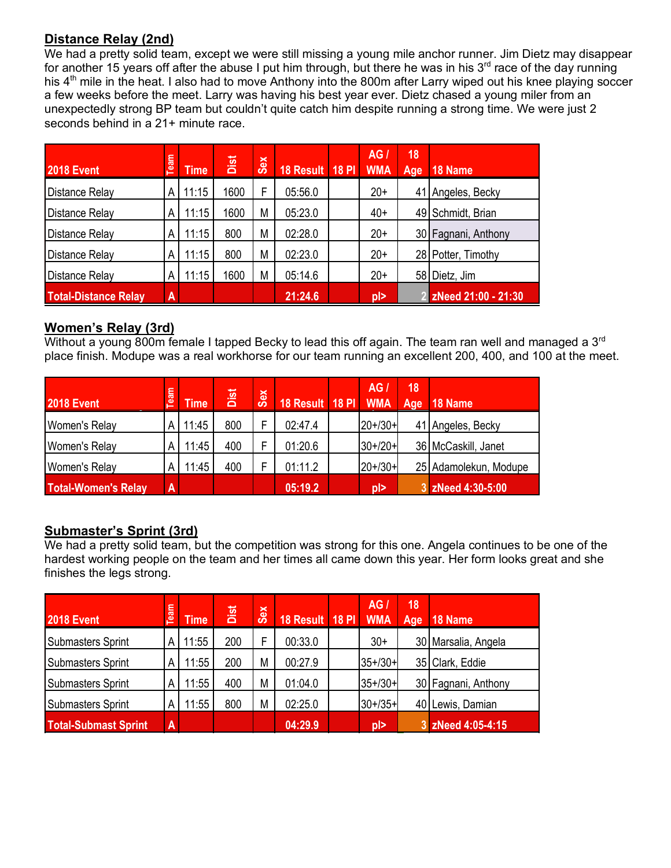# **Distance Relay (2nd)**

We had a pretty solid team, except we were still missing a young mile anchor runner. Jim Dietz may disappear for another 15 years off after the abuse I put him through, but there he was in his  $3<sup>rd</sup>$  race of the day running his 4<sup>th</sup> mile in the heat. I also had to move Anthony into the 800m after Larry wiped out his knee playing soccer a few weeks before the meet. Larry was having his best year ever. Dietz chased a young miler from an unexpectedly strong BP team but couldn't quite catch him despite running a strong time. We were just 2 seconds behind in a 21+ minute race.

| # | <b>2018 Event</b>           | Team                    | <b>Time</b> | Dist | <b>Sex</b> | 18 Result 18 PI | AG <sub>1</sub><br><b>WMA</b> | 18<br>Age | 18 Name               |
|---|-----------------------------|-------------------------|-------------|------|------------|-----------------|-------------------------------|-----------|-----------------------|
|   | Distance Relay              | Α                       | 11:15       | 1600 | F          | 05:56.0         | $20+$                         |           | 41 Angeles, Becky     |
|   | Distance Relay              | Α                       | 11:15       | 1600 | M          | 05:23.0         | $40+$                         |           | 49 Schmidt, Brian     |
|   | Distance Relay              | А                       | 11:15       | 800  | M          | 02:28.0         | $20+$                         |           | 30 Fagnani, Anthony   |
|   | Distance Relay              | A                       | 11:15       | 800  | M          | 02:23.0         | $20+$                         |           | 28 Potter, Timothy    |
|   | Distance Relay              | Α                       | 11:15       | 1600 | M          | 05:14.6         | $20+$                         |           | 58 Dietz, Jim         |
|   | <b>Total-Distance Relay</b> | $\overline{\mathsf{A}}$ |             |      |            | 21:24.6         | $p$  >                        |           | 2 zNeed 21:00 - 21:30 |

#### **Women's Relay (3rd)**

Without a young 800m female I tapped Becky to lead this off again. The team ran well and managed a 3<sup>rd</sup> place finish. Modupe was a real workhorse for our team running an excellent 200, 400, and 100 at the meet.

| $\pm$ | <b>2018 Event</b>          | <b>Team</b>    | Time <sup>1</sup> | Dist | <b>Sex</b> | 18 Result   18 PI | AG /<br><b>WMA</b>       | 18<br>Age | 18 Name               |
|-------|----------------------------|----------------|-------------------|------|------------|-------------------|--------------------------|-----------|-----------------------|
|       | Women's Relay              |                | 11:45             | 800  | E          | 02:47.4           | $20+30+$                 |           | 41 Angeles, Becky     |
|       | Women's Relay              | А              | 11:45             | 400  | Е          | 01:20.6           | $30+20+$                 |           | 36 McCaskill, Janet   |
|       | Women's Relay              | Α              | 11:45             | 400  |            | 01:11.2           | $20+30+$                 |           | 25 Adamolekun, Modupe |
|       | <b>Total-Women's Relay</b> | $\overline{A}$ |                   |      |            | 05:19.2           | $\vert \mathsf{D} \vert$ |           | 3 zNeed 4:30-5:00     |

#### **Submaster's Sprint (3rd)**

We had a pretty solid team, but the competition was strong for this one. Angela continues to be one of the hardest working people on the team and her times all came down this year. Her form looks great and she finishes the legs strong.

| # | <b>2018 Event</b>           | Team | <b>Time</b> | Dist | <b>Sex</b> | 18 Result 18 PI | <b>AG</b><br><b>WMA</b> | 18<br>Age | 18 Name             |
|---|-----------------------------|------|-------------|------|------------|-----------------|-------------------------|-----------|---------------------|
|   | <b>Submasters Sprint</b>    |      | 11:55       | 200  | F          | 00:33.0         | $30+$                   |           | 30 Marsalia, Angela |
|   | <b>Submasters Sprint</b>    | Α    | 11:55       | 200  | M          | 00:27.9         | $35+/30+$               |           | 35 Clark, Eddie     |
|   | <b>Submasters Sprint</b>    | Α    | 11:55       | 400  | M          | 01:04.0         | $35+/30+$               |           | 30 Fagnani, Anthony |
|   | Submasters Sprint           | Α    | 11:55       | 800  | M          | 02:25.0         | $30+ / 35+$             |           | 40 Lewis, Damian    |
|   | <b>Total-Submast Sprint</b> | A    |             |      |            | 04:29.9         | $p$  >                  |           | 3 zNeed 4:05-4:15   |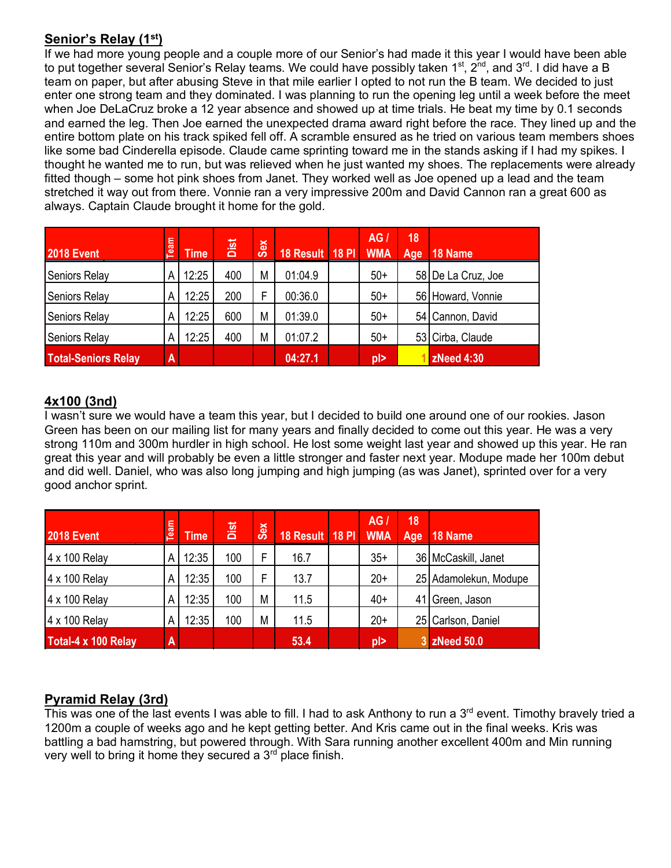# **Senior's Relay (1st)**

If we had more young people and a couple more of our Senior's had made it this year I would have been able to put together several Senior's Relay teams. We could have possibly taken 1<sup>st</sup>, 2<sup>nd</sup>, and 3<sup>rd</sup>. I did have a B team on paper, but after abusing Steve in that mile earlier I opted to not run the B team. We decided to just enter one strong team and they dominated. I was planning to run the opening leg until a week before the meet when Joe DeLaCruz broke a 12 year absence and showed up at time trials. He beat my time by 0.1 seconds and earned the leg. Then Joe earned the unexpected drama award right before the race. They lined up and the entire bottom plate on his track spiked fell off. A scramble ensured as he tried on various team members shoes like some bad Cinderella episode. Claude came sprinting toward me in the stands asking if I had my spikes. I thought he wanted me to run, but was relieved when he just wanted my shoes. The replacements were already fitted though – some hot pink shoes from Janet. They worked well as Joe opened up a lead and the team stretched it way out from there. Vonnie ran a very impressive 200m and David Cannon ran a great 600 as always. Captain Claude brought it home for the gold.

| # | <b>2018 Event</b>          | Team                    | <b>Time</b> | Dist | Sex | 18 Result   18 PI | <b>AG</b><br><b>WMA</b>  | 18<br>Age | 18 Name            |
|---|----------------------------|-------------------------|-------------|------|-----|-------------------|--------------------------|-----------|--------------------|
|   | Seniors Relay              | А                       | 12:25       | 400  | M   | 01:04.9           | $50+$                    |           | 58 De La Cruz, Joe |
|   | Seniors Relay              | Α                       | 12:25       | 200  | F   | 00:36.0           | $50+$                    |           | 56 Howard, Vonnie  |
|   | <b>Seniors Relay</b>       | Α                       | 12:25       | 600  | M   | 01:39.0           | $50+$                    |           | 54 Cannon, David   |
|   | Seniors Relay              | А                       | 12:25       | 400  | M   | 01:07.2           | $50+$                    |           | 53 Cirba, Claude   |
|   | <b>Total-Seniors Relay</b> | $\overline{\mathsf{A}}$ |             |      |     | 04:27.1           | $\vert \mathsf{D} \vert$ |           | zNeed 4:30         |

#### **4x100 (3nd)**

I wasn't sure we would have a team this year, but I decided to build one around one of our rookies. Jason Green has been on our mailing list for many years and finally decided to come out this year. He was a very strong 110m and 300m hurdler in high school. He lost some weight last year and showed up this year. He ran great this year and will probably be even a little stronger and faster next year. Modupe made her 100m debut and did well. Daniel, who was also long jumping and high jumping (as was Janet), sprinted over for a very good anchor sprint.

| # | <b>2018 Event</b>   | Team | <b>Time</b> | Dist | Sex | 18 Result 18 PI | AG <sub>1</sub><br><b>WMA</b> | 18<br>Age | 18 Name               |
|---|---------------------|------|-------------|------|-----|-----------------|-------------------------------|-----------|-----------------------|
|   | 4 x 100 Relay       | A    | 12:35       | 100  | F   | 16.7            | $35+$                         |           | 36 McCaskill, Janet   |
|   | 4 x 100 Relay       | Α    | 12:35       | 100  | F   | 13.7            | $20+$                         |           | 25 Adamolekun, Modupe |
|   | 4 x 100 Relay       | Α    | 12:35       | 100  | M   | 11.5            | $40+$                         | 41        | Green, Jason          |
|   | 4 x 100 Relay       | Α    | 12:35       | 100  | M   | 11.5            | $20+$                         |           | 25 Carlson, Daniel    |
|   | Total-4 x 100 Relay | A    |             |      |     | 53.4            | $\vert \mathsf{D} \vert$      |           | 3 zNeed 50.0          |

## **Pyramid Relay (3rd)**

This was one of the last events I was able to fill. I had to ask Anthony to run a 3<sup>rd</sup> event. Timothy bravely tried a 1200m a couple of weeks ago and he kept getting better. And Kris came out in the final weeks. Kris was battling a bad hamstring, but powered through. With Sara running another excellent 400m and Min running very well to bring it home they secured a  $3<sup>rd</sup>$  place finish.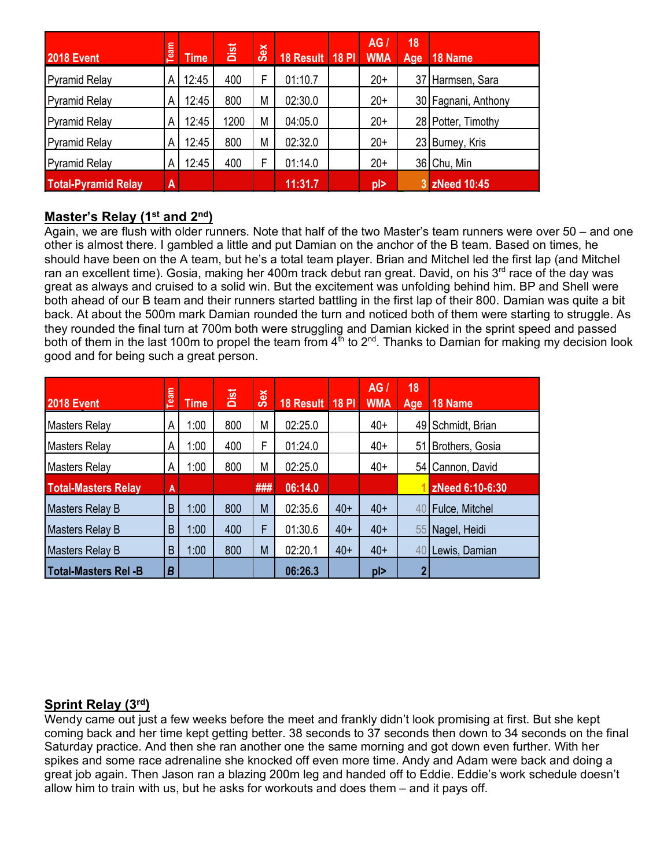| # | <b>2018 Event</b>          | Team                    | <b>Time</b> | Dist | Sex | 18 Result 18 PI | <b>AG</b><br><b>WMA</b> | 18<br>Age | 18 Name             |
|---|----------------------------|-------------------------|-------------|------|-----|-----------------|-------------------------|-----------|---------------------|
|   | <b>Pyramid Relay</b>       | A                       | 12:45       | 400  | F   | 01:10.7         | $20+$                   |           | 37 Harmsen, Sara    |
|   | <b>Pyramid Relay</b>       | A                       | 12:45       | 800  | M   | 02:30.0         | $20+$                   |           | 30 Fagnani, Anthony |
|   | <b>Pyramid Relay</b>       | A                       | 12:45       | 1200 | M   | 04:05.0         | $20+$                   |           | 28 Potter, Timothy  |
|   | <b>Pyramid Relay</b>       | A                       | 12:45       | 800  | M   | 02:32.0         | $20+$                   | 23 I      | Burney, Kris        |
|   | <b>Pyramid Relay</b>       | A                       | 12:45       | 400  | F   | 01:14.0         | $20+$                   |           | 36 Chu, Min         |
|   | <b>Total-Pyramid Relay</b> | $\overline{\mathsf{A}}$ |             |      |     | 11:31.7         | $p$  >                  | 3         | <b>zNeed 10:45</b>  |

#### **Master's Relay (1st and 2nd)**

Again, we are flush with older runners. Note that half of the two Master's team runners were over 50 – and one other is almost there. I gambled a little and put Damian on the anchor of the B team. Based on times, he should have been on the A team, but he's a total team player. Brian and Mitchel led the first lap (and Mitchel ran an excellent time). Gosia, making her 400m track debut ran great. David, on his 3<sup>rd</sup> race of the day was great as always and cruised to a solid win. But the excitement was unfolding behind him. BP and Shell were both ahead of our B team and their runners started battling in the first lap of their 800. Damian was quite a bit back. At about the 500m mark Damian rounded the turn and noticed both of them were starting to struggle. As they rounded the final turn at 700m both were struggling and Damian kicked in the sprint speed and passed both of them in the last 100m to propel the team from 4<sup>th</sup> to 2<sup>nd</sup>. Thanks to Damian for making my decision look good and for being such a great person.

| $\pm$ | <b>2018 Event</b>           | Team | <b>Time</b> | Dist | Sex | 18 Result | <b>18 PI</b> | AGI<br><b>WMA</b> | 18<br>Age | 18 Name           |
|-------|-----------------------------|------|-------------|------|-----|-----------|--------------|-------------------|-----------|-------------------|
|       | <b>Masters Relay</b>        | A    | 1:00        | 800  | M   | 02:25.0   |              | $40+$             |           | 49 Schmidt, Brian |
|       | <b>Masters Relay</b>        | А    | 1:00        | 400  | F   | 01:24.0   |              | $40+$             | 51        | Brothers, Gosia   |
|       | <b>Masters Relay</b>        | A    | 1:00        | 800  | M   | 02:25.0   |              | $40+$             |           | 54 Cannon, David  |
|       | <b>Total-Masters Relay</b>  | A    |             |      | ### | 06:14.0   |              |                   |           | zNeed 6:10-6:30   |
|       | <b>Masters Relay B</b>      | B    | 1:00        | 800  | M   | 02:35.6   | $40+$        | $40+$             | 40        | Fulce, Mitchel    |
|       | <b>Masters Relay B</b>      | B    | 1:00        | 400  | F   | 01:30.6   | $40+$        | $40+$             | 55        | Nagel, Heidi      |
|       | <b>Masters Relay B</b>      | B    | 1:00        | 800  | M   | 02:20.1   | $40+$        | $40+$             | 40        | Lewis, Damian     |
|       | <b>Total-Masters Rel -B</b> | B    |             |      |     | 06:26.3   |              | $p \ge$           |           |                   |

## **Sprint Relay (3rd)**

Wendy came out just a few weeks before the meet and frankly didn't look promising at first. But she kept coming back and her time kept getting better. 38 seconds to 37 seconds then down to 34 seconds on the final Saturday practice. And then she ran another one the same morning and got down even further. With her spikes and some race adrenaline she knocked off even more time. Andy and Adam were back and doing a great job again. Then Jason ran a blazing 200m leg and handed off to Eddie. Eddie's work schedule doesn't allow him to train with us, but he asks for workouts and does them – and it pays off.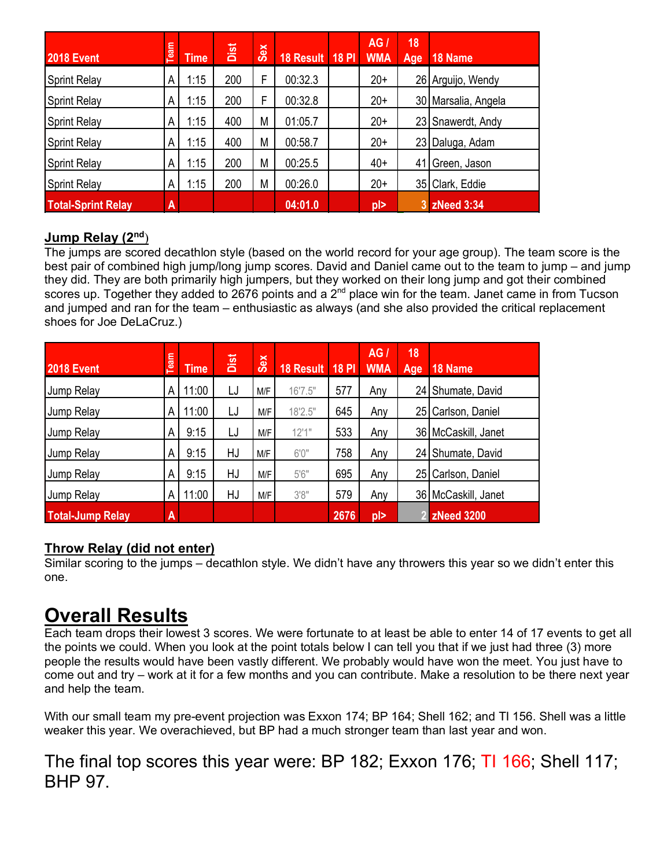| $\pm$ | <b>2018 Event</b>         | Team | <b>Time</b> | Dist | Sex | 18 Result 18 PI | AGI<br><b>WMA</b> | 18<br>Age | 18 Name             |
|-------|---------------------------|------|-------------|------|-----|-----------------|-------------------|-----------|---------------------|
|       | <b>Sprint Relay</b>       | A    | 1:15        | 200  | F   | 00:32.3         | $20+$             |           | 26 Arguijo, Wendy   |
|       | <b>Sprint Relay</b>       | А    | 1:15        | 200  | F   | 00:32.8         | $20+$             |           | 30 Marsalia, Angela |
|       | <b>Sprint Relay</b>       | А    | 1:15        | 400  | M   | 01:05.7         | $20+$             | 23        | Snawerdt, Andy      |
|       | <b>Sprint Relay</b>       | А    | 1:15        | 400  | M   | 00:58.7         | $20+$             | 23        | Daluga, Adam        |
|       | <b>Sprint Relay</b>       | А    | 1:15        | 200  | М   | 00:25.5         | $40+$             | 41        | Green, Jason        |
|       | <b>Sprint Relay</b>       | А    | 1:15        | 200  | M   | 00:26.0         | $20+$             | 35        | Clark, Eddie        |
|       | <b>Total-Sprint Relay</b> | A    |             |      |     | 04:01.0         | pl>               | 3         | <b>zNeed 3:34</b>   |

## **Jump Relay (2nd**)

The jumps are scored decathlon style (based on the world record for your age group). The team score is the best pair of combined high jump/long jump scores. David and Daniel came out to the team to jump – and jump they did. They are both primarily high jumpers, but they worked on their long jump and got their combined scores up. Together they added to 2676 points and a  $2^{nd}$  place win for the team. Janet came in from Tucson and jumped and ran for the team – enthusiastic as always (and she also provided the critical replacement shoes for Joe DeLaCruz.)

| $\pm$ | <b>2018 Event</b>       | Team | <b>Time</b> | Dist | Sex | 18 Result 18 PI |      | AGI<br><b>WMA</b> | 18<br>Age | 18 Name               |
|-------|-------------------------|------|-------------|------|-----|-----------------|------|-------------------|-----------|-----------------------|
|       | Jump Relay              | A    | 11:00       | LJ   | M/F | 16'7.5"         | 577  | Any               |           | 24 Shumate, David     |
|       | Jump Relay              | A    | 11:00       | LJ   | M/F | 18'2.5"         | 645  | Any               | 25        | Carlson, Daniel       |
|       | Jump Relay              | A    | 9:15        | LJ   | M/F | 12'1"           | 533  | Any               |           | 36   McCaskill, Janet |
|       | Jump Relay              | A    | 9:15        | HJ   | M/F | 6'0''           | 758  | Any               | 24        | Shumate, David        |
|       | Jump Relay              | A    | 9:15        | HJ   | M/F | 5'6''           | 695  | Any               | 25        | Carlson, Daniel       |
|       | Jump Relay              | A    | 11:00       | HJ   | M/F | 3'8''           | 579  | Any               |           | 36 McCaskill, Janet   |
|       | <b>Total-Jump Relay</b> | A    |             |      |     |                 | 2676 | $p$  >            |           | <b>ZNeed 3200</b>     |

## **Throw Relay (did not enter)**

Similar scoring to the jumps – decathlon style. We didn't have any throwers this year so we didn't enter this one.

# **Overall Results**

Each team drops their lowest 3 scores. We were fortunate to at least be able to enter 14 of 17 events to get all the points we could. When you look at the point totals below I can tell you that if we just had three (3) more people the results would have been vastly different. We probably would have won the meet. You just have to come out and try – work at it for a few months and you can contribute. Make a resolution to be there next year and help the team.

With our small team my pre-event projection was Exxon 174; BP 164; Shell 162; and TI 156. Shell was a little weaker this year. We overachieved, but BP had a much stronger team than last year and won.

# The final top scores this year were: BP 182; Exxon 176; TI 166, Shell 117; BHP 97.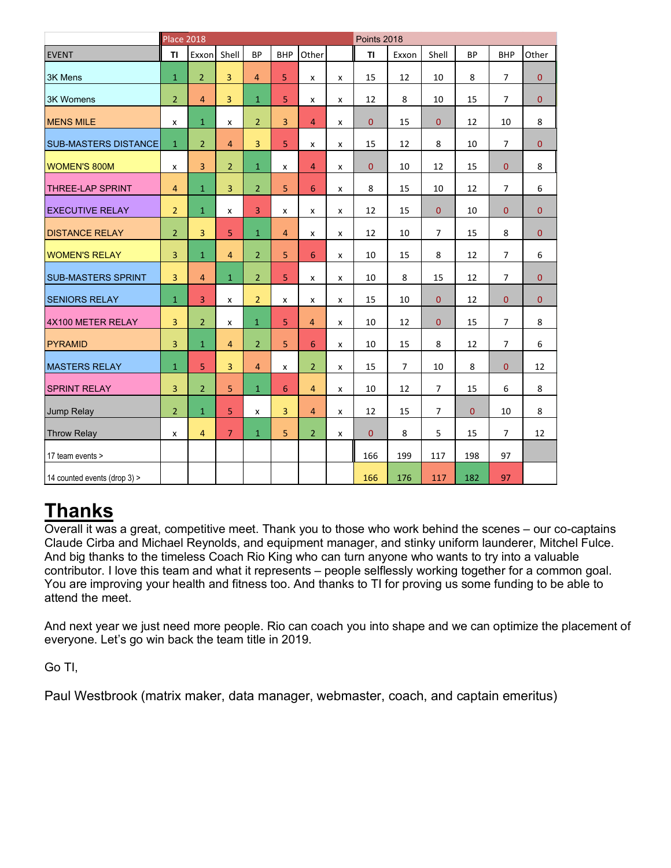|                              | <b>Place 2018</b>       |                |                |                |                |                |   |                | Points 2018    |                |           |                |                |  |  |
|------------------------------|-------------------------|----------------|----------------|----------------|----------------|----------------|---|----------------|----------------|----------------|-----------|----------------|----------------|--|--|
| <b>EVENT</b>                 | TI                      | Exxon          | Shell          | <b>BP</b>      | <b>BHP</b>     | Other          |   | <b>TI</b>      | Exxon          | Shell          | <b>BP</b> | <b>BHP</b>     | Other          |  |  |
| <b>3K Mens</b>               | $\mathbf{1}$            | $\overline{2}$ | $\overline{3}$ | $\overline{4}$ | 5              | X              | X | 15             | 12             | 10             | 8         | $\overline{7}$ | $\Omega$       |  |  |
| <b>3K Womens</b>             | $\overline{2}$          | $\overline{4}$ | $\overline{3}$ | $\mathbf{1}$   | 5 <sup>1</sup> | X              | x | 12             | 8              | 10             | 15        | $\overline{7}$ | $\mathbf{0}$   |  |  |
| <b>MENS MILE</b>             | x                       | $\mathbf{1}$   | x              | $\overline{2}$ | $\overline{3}$ | $\overline{4}$ | X | $\mathbf{0}$   | 15             | $\mathbf{0}$   | 12        | 10             | 8              |  |  |
| <b>SUB-MASTERS DISTANCE</b>  | $\mathbf{1}$            | $\overline{2}$ | $\overline{4}$ | 3              | 5 <sup>1</sup> | X              | x | 15             | 12             | 8              | 10        | $\overline{7}$ | $\overline{0}$ |  |  |
| <b>WOMEN'S 800M</b>          | X                       | $\overline{3}$ | 2 <sup>1</sup> | $\mathbf{1}$   | x              | $\overline{4}$ | X | $\mathbf{0}$   | 10             | 12             | 15        | $\overline{0}$ | 8              |  |  |
| <b>THREE-LAP SPRINT</b>      | $\overline{4}$          | $\mathbf{1}$   | $\overline{3}$ | $\overline{2}$ | 5              | 6              | x | 8              | 15             | 10             | 12        | $\overline{7}$ | 6              |  |  |
| <b>EXECUTIVE RELAY</b>       | $\overline{2}$          | $\mathbf{1}$   | x              | 3              | X              | X              | x | 12             | 15             | $\overline{0}$ | 10        | $\overline{0}$ | $\mathbf{0}$   |  |  |
| <b>DISTANCE RELAY</b>        | $\overline{2}$          | $\overline{3}$ | 5              | $\mathbf{1}$   | $\overline{4}$ | X              | x | 12             | 10             | $\overline{7}$ | 15        | 8              | $\mathbf{0}$   |  |  |
| <b>WOMEN'S RELAY</b>         | $\overline{3}$          | $\mathbf{1}$   | 4              | $\overline{2}$ | 5              | 6              | x | 10             | 15             | 8              | 12        | $\overline{7}$ | 6              |  |  |
| <b>SUB-MASTERS SPRINT</b>    | 3                       | $\overline{4}$ | $\mathbf{1}$   | $\overline{2}$ | 5              | X              | x | 10             | 8              | 15             | 12        | $\overline{7}$ | $\overline{0}$ |  |  |
| <b>SENIORS RELAY</b>         | $\mathbf{1}$            | 3              | x              | $\overline{2}$ | x              | X              | x | 15             | 10             | $\mathbf{0}$   | 12        | $\overline{0}$ | $\overline{0}$ |  |  |
| 4X100 METER RELAY            | $\overline{3}$          | $\overline{2}$ | x              | $\mathbf{1}$   | 5              | $\overline{4}$ | x | 10             | 12             | $\mathbf{0}$   | 15        | $\overline{7}$ | 8              |  |  |
| <b>PYRAMID</b>               | $\overline{3}$          | $\mathbf{1}$   | $\overline{4}$ | $\overline{2}$ | 5 <sup>1</sup> | 6              | X | 10             | 15             | 8              | 12        | 7              | 6              |  |  |
| <b>MASTERS RELAY</b>         | $\mathbf{1}$            | 5              | $\overline{3}$ | $\overline{4}$ | X              | 2 <sup>1</sup> | X | 15             | $\overline{7}$ | 10             | 8         | $\overline{0}$ | 12             |  |  |
| <b>SPRINT RELAY</b>          | $\overline{\mathbf{3}}$ | $\overline{2}$ | 5              | $\mathbf{1}$   | 6              | $\overline{4}$ | x | 10             | 12             | $\overline{7}$ | 15        | 6              | 8              |  |  |
| Jump Relay                   | $\overline{2}$          | $\mathbf{1}$   | 5              | $\mathsf{x}$   | $\overline{3}$ | $\overline{4}$ | X | 12             | 15             | $\overline{7}$ | $\Omega$  | 10             | 8              |  |  |
| <b>Throw Relay</b>           | x                       | $\overline{4}$ | 7 <sup>1</sup> | $\mathbf{1}$   | 5 <sup>1</sup> | 2 <sup>1</sup> | x | $\overline{0}$ | 8              | 5              | 15        | $\overline{7}$ | 12             |  |  |
| 17 team events >             |                         |                |                |                |                |                |   | 166            | 199            | 117            | 198       | 97             |                |  |  |
| 14 counted events (drop 3) > |                         |                |                |                |                |                |   | 166            | 176            | 117            | 182       | 97             |                |  |  |

# **Thanks**

Overall it was a great, competitive meet. Thank you to those who work behind the scenes – our co-captains Claude Cirba and Michael Reynolds, and equipment manager, and stinky uniform launderer, Mitchel Fulce. And big thanks to the timeless Coach Rio King who can turn anyone who wants to try into a valuable contributor. I love this team and what it represents – people selflessly working together for a common goal. You are improving your health and fitness too. And thanks to TI for proving us some funding to be able to attend the meet.

And next year we just need more people. Rio can coach you into shape and we can optimize the placement of everyone. Let's go win back the team title in 2019.

Go TI,

Paul Westbrook (matrix maker, data manager, webmaster, coach, and captain emeritus)